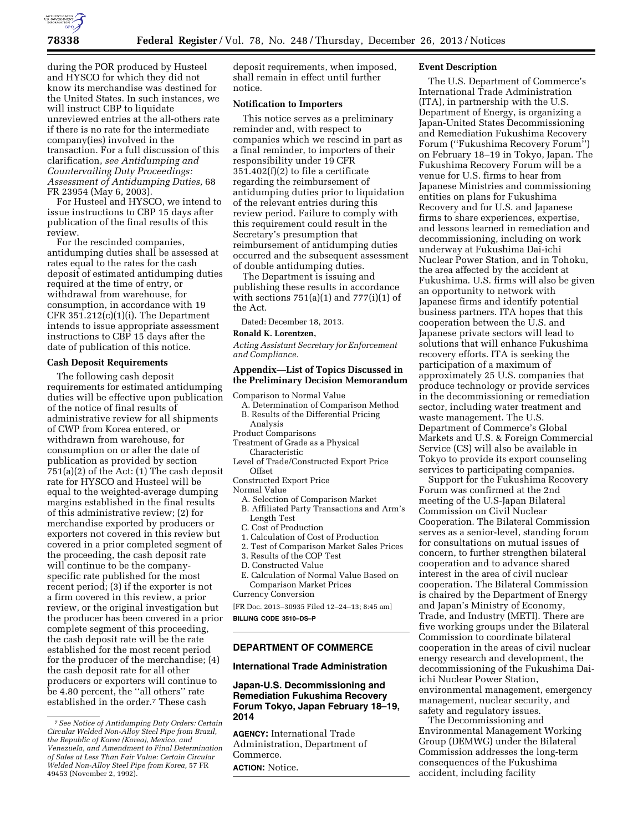

during the POR produced by Husteel and HYSCO for which they did not know its merchandise was destined for the United States. In such instances, we will instruct CBP to liquidate unreviewed entries at the all-others rate if there is no rate for the intermediate company(ies) involved in the transaction. For a full discussion of this clarification, *see Antidumping and Countervailing Duty Proceedings: Assessment of Antidumping Duties,* 68 FR 23954 (May 6, 2003).

For Husteel and HYSCO, we intend to issue instructions to CBP 15 days after publication of the final results of this review.

For the rescinded companies, antidumping duties shall be assessed at rates equal to the rates for the cash deposit of estimated antidumping duties required at the time of entry, or withdrawal from warehouse, for consumption, in accordance with 19 CFR  $351.212(c)(1)(i)$ . The Department intends to issue appropriate assessment instructions to CBP 15 days after the date of publication of this notice.

## **Cash Deposit Requirements**

The following cash deposit requirements for estimated antidumping duties will be effective upon publication of the notice of final results of administrative review for all shipments of CWP from Korea entered, or withdrawn from warehouse, for consumption on or after the date of publication as provided by section 751(a)(2) of the Act: (1) The cash deposit rate for HYSCO and Husteel will be equal to the weighted-average dumping margins established in the final results of this administrative review; (2) for merchandise exported by producers or exporters not covered in this review but covered in a prior completed segment of the proceeding, the cash deposit rate will continue to be the companyspecific rate published for the most recent period; (3) if the exporter is not a firm covered in this review, a prior review, or the original investigation but the producer has been covered in a prior complete segment of this proceeding, the cash deposit rate will be the rate established for the most recent period for the producer of the merchandise; (4) the cash deposit rate for all other producers or exporters will continue to be 4.80 percent, the "all others" rate established in the order.7 These cash

deposit requirements, when imposed, shall remain in effect until further notice.

### **Notification to Importers**

This notice serves as a preliminary reminder and, with respect to companies which we rescind in part as a final reminder, to importers of their responsibility under 19 CFR 351.402(f)(2) to file a certificate regarding the reimbursement of antidumping duties prior to liquidation of the relevant entries during this review period. Failure to comply with this requirement could result in the Secretary's presumption that reimbursement of antidumping duties occurred and the subsequent assessment of double antidumping duties.

The Department is issuing and publishing these results in accordance with sections  $751(a)(1)$  and  $777(i)(1)$  of the Act.

Dated: December 18, 2013.

### **Ronald K. Lorentzen,**

*Acting Assistant Secretary for Enforcement and Compliance.* 

## **Appendix—List of Topics Discussed in the Preliminary Decision Memorandum**

- Comparison to Normal Value
- A. Determination of Comparison Method B. Results of the Differential Pricing Analysis
- Product Comparisons
- Treatment of Grade as a Physical Characteristic
- Level of Trade/Constructed Export Price Offset
- Constructed Export Price

Normal Value

- A. Selection of Comparison Market B. Affiliated Party Transactions and Arm's
- Length Test
- C. Cost of Production
- 1. Calculation of Cost of Production
- 2. Test of Comparison Market Sales Prices
- 3. Results of the COP Test
- D. Constructed Value
- E. Calculation of Normal Value Based on Comparison Market Prices

Currency Conversion

[FR Doc. 2013–30935 Filed 12–24–13; 8:45 am] **BILLING CODE 3510–DS–P** 

## **DEPARTMENT OF COMMERCE**

### **International Trade Administration**

**Japan-U.S. Decommissioning and Remediation Fukushima Recovery Forum Tokyo, Japan February 18–19, 2014** 

**AGENCY:** International Trade Administration, Department of Commerce. **ACTION:** Notice.

## **Event Description**

The U.S. Department of Commerce's International Trade Administration (ITA), in partnership with the U.S. Department of Energy, is organizing a Japan-United States Decommissioning and Remediation Fukushima Recovery Forum (''Fukushima Recovery Forum'') on February 18–19 in Tokyo, Japan. The Fukushima Recovery Forum will be a venue for U.S. firms to hear from Japanese Ministries and commissioning entities on plans for Fukushima Recovery and for U.S. and Japanese firms to share experiences, expertise, and lessons learned in remediation and decommissioning, including on work underway at Fukushima Dai-ichi Nuclear Power Station, and in Tohoku, the area affected by the accident at Fukushima. U.S. firms will also be given an opportunity to network with Japanese firms and identify potential business partners. ITA hopes that this cooperation between the U.S. and Japanese private sectors will lead to solutions that will enhance Fukushima recovery efforts. ITA is seeking the participation of a maximum of approximately 25 U.S. companies that produce technology or provide services in the decommissioning or remediation sector, including water treatment and waste management. The U.S. Department of Commerce's Global Markets and U.S. & Foreign Commercial Service (CS) will also be available in Tokyo to provide its export counseling services to participating companies.

Support for the Fukushima Recovery Forum was confirmed at the 2nd meeting of the U.S-Japan Bilateral Commission on Civil Nuclear Cooperation. The Bilateral Commission serves as a senior-level, standing forum for consultations on mutual issues of concern, to further strengthen bilateral cooperation and to advance shared interest in the area of civil nuclear cooperation. The Bilateral Commission is chaired by the Department of Energy and Japan's Ministry of Economy, Trade, and Industry (METI). There are five working groups under the Bilateral Commission to coordinate bilateral cooperation in the areas of civil nuclear energy research and development, the decommissioning of the Fukushima Daiichi Nuclear Power Station, environmental management, emergency management, nuclear security, and safety and regulatory issues.

The Decommissioning and Environmental Management Working Group (DEMWG) under the Bilateral Commission addresses the long-term consequences of the Fukushima accident, including facility

<sup>7</sup>*See Notice of Antidumping Duty Orders: Certain Circular Welded Non-Alloy Steel Pipe from Brazil, the Republic of Korea (Korea), Mexico, and Venezuela, and Amendment to Final Determination of Sales at Less Than Fair Value: Certain Circular Welded Non-Alloy Steel Pipe from Korea,* 57 FR 49453 (November 2, 1992).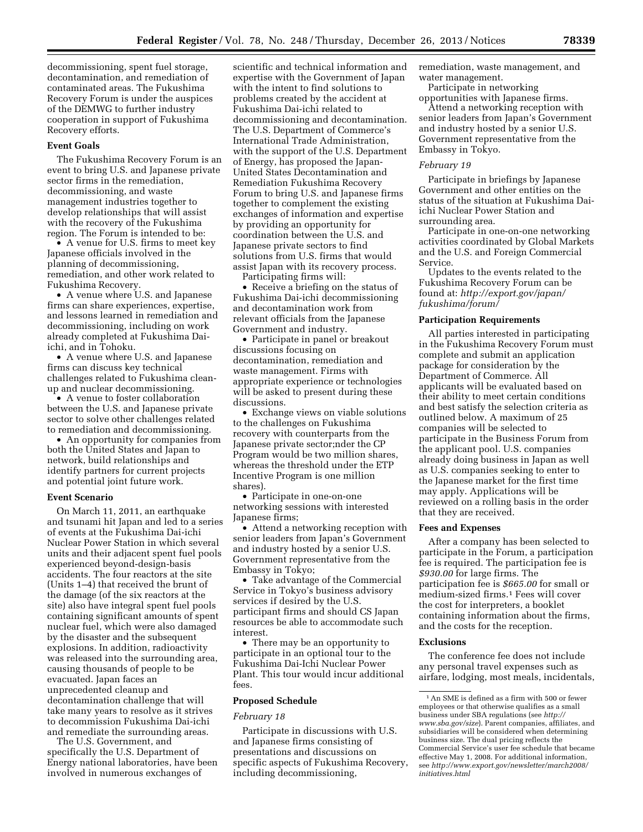decommissioning, spent fuel storage, decontamination, and remediation of contaminated areas. The Fukushima Recovery Forum is under the auspices of the DEMWG to further industry cooperation in support of Fukushima Recovery efforts.

### **Event Goals**

The Fukushima Recovery Forum is an event to bring U.S. and Japanese private sector firms in the remediation, decommissioning, and waste management industries together to develop relationships that will assist with the recovery of the Fukushima region. The Forum is intended to be:

• A venue for U.S. firms to meet key Japanese officials involved in the planning of decommissioning, remediation, and other work related to Fukushima Recovery.

• A venue where U.S. and Japanese firms can share experiences, expertise, and lessons learned in remediation and decommissioning, including on work already completed at Fukushima Daiichi, and in Tohoku.

• A venue where U.S. and Japanese firms can discuss key technical challenges related to Fukushima cleanup and nuclear decommissioning.

• A venue to foster collaboration between the U.S. and Japanese private sector to solve other challenges related to remediation and decommissioning.

• An opportunity for companies from both the United States and Japan to network, build relationships and identify partners for current projects and potential joint future work.

#### **Event Scenario**

On March 11, 2011, an earthquake and tsunami hit Japan and led to a series of events at the Fukushima Dai-ichi Nuclear Power Station in which several units and their adjacent spent fuel pools experienced beyond-design-basis accidents. The four reactors at the site (Units 1–4) that received the brunt of the damage (of the six reactors at the site) also have integral spent fuel pools containing significant amounts of spent nuclear fuel, which were also damaged by the disaster and the subsequent explosions. In addition, radioactivity was released into the surrounding area, causing thousands of people to be evacuated. Japan faces an unprecedented cleanup and decontamination challenge that will take many years to resolve as it strives to decommission Fukushima Dai-ichi and remediate the surrounding areas.

The U.S. Government, and specifically the U.S. Department of Energy national laboratories, have been involved in numerous exchanges of

scientific and technical information and expertise with the Government of Japan with the intent to find solutions to problems created by the accident at Fukushima Dai-ichi related to decommissioning and decontamination. The U.S. Department of Commerce's International Trade Administration, with the support of the U.S. Department of Energy, has proposed the Japan-United States Decontamination and Remediation Fukushima Recovery Forum to bring U.S. and Japanese firms together to complement the existing exchanges of information and expertise by providing an opportunity for coordination between the U.S. and Japanese private sectors to find solutions from U.S. firms that would assist Japan with its recovery process. Participating firms will:

• Receive a briefing on the status of Fukushima Dai-ichi decommissioning and decontamination work from relevant officials from the Japanese Government and industry.

• Participate in panel or breakout discussions focusing on decontamination, remediation and waste management. Firms with appropriate experience or technologies will be asked to present during these discussions.

• Exchange views on viable solutions to the challenges on Fukushima recovery with counterparts from the Japanese private sector;nder the CP Program would be two million shares, whereas the threshold under the ETP Incentive Program is one million shares).

• Participate in one-on-one networking sessions with interested Japanese firms;

• Attend a networking reception with senior leaders from Japan's Government and industry hosted by a senior U.S. Government representative from the Embassy in Tokyo;

• Take advantage of the Commercial Service in Tokyo's business advisory services if desired by the U.S. participant firms and should CS Japan resources be able to accommodate such interest.

• There may be an opportunity to participate in an optional tour to the Fukushima Dai-Ichi Nuclear Power Plant. This tour would incur additional fees.

### **Proposed Schedule**

## *February 18*

Participate in discussions with U.S. and Japanese firms consisting of presentations and discussions on specific aspects of Fukushima Recovery, including decommissioning,

remediation, waste management, and water management.

Participate in networking opportunities with Japanese firms.

Attend a networking reception with senior leaders from Japan's Government and industry hosted by a senior U.S. Government representative from the Embassy in Tokyo.

### *February 19*

Participate in briefings by Japanese Government and other entities on the status of the situation at Fukushima Daiichi Nuclear Power Station and surrounding area.

Participate in one-on-one networking activities coordinated by Global Markets and the U.S. and Foreign Commercial Service.

Updates to the events related to the Fukushima Recovery Forum can be found at: *[http://export.gov/japan/](http://export.gov/japan/fukushima/forum/)  [fukushima/forum/](http://export.gov/japan/fukushima/forum/)* 

#### **Participation Requirements**

All parties interested in participating in the Fukushima Recovery Forum must complete and submit an application package for consideration by the Department of Commerce. All applicants will be evaluated based on their ability to meet certain conditions and best satisfy the selection criteria as outlined below. A maximum of 25 companies will be selected to participate in the Business Forum from the applicant pool. U.S. companies already doing business in Japan as well as U.S. companies seeking to enter to the Japanese market for the first time may apply. Applications will be reviewed on a rolling basis in the order that they are received.

#### **Fees and Expenses**

After a company has been selected to participate in the Forum, a participation fee is required. The participation fee is *\$930.00* for large firms. The participation fee is *\$665.00* for small or medium-sized firms.1 Fees will cover the cost for interpreters, a booklet containing information about the firms, and the costs for the reception.

#### **Exclusions**

The conference fee does not include any personal travel expenses such as airfare, lodging, most meals, incidentals,

<sup>1</sup>An SME is defined as a firm with 500 or fewer employees or that otherwise qualifies as a small business under SBA regulations (see *[http://](http://www.sba.gov/size) [www.sba.gov/size](http://www.sba.gov/size)*). Parent companies, affiliates, and subsidiaries will be considered when determining business size. The dual pricing reflects the Commercial Service's user fee schedule that became effective May 1, 2008. For additional information, see *[http://www.export.gov/newsletter/march2008/](http://www.export.gov/newsletter/march2008/initiatives.html) [initiatives.html](http://www.export.gov/newsletter/march2008/initiatives.html)*